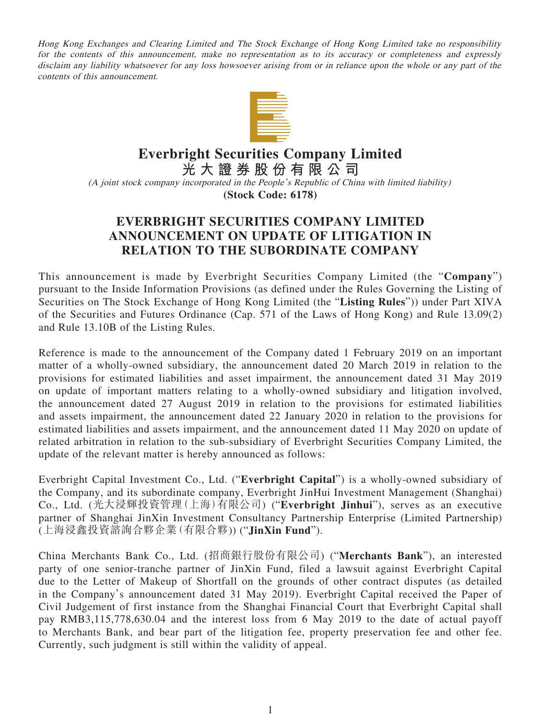Hong Kong Exchanges and Clearing Limited and The Stock Exchange of Hong Kong Limited take no responsibility for the contents of this announcement, make no representation as to its accuracy or completeness and expressly disclaim any liability whatsoever for any loss howsoever arising from or in reliance upon the whole or any part of the contents of this announcement.



## **Everbright Securities Company Limited**

**光大證券股份有限公司**

(A joint stock company incorporated in the People's Republic of China with limited liability) **(Stock Code: 6178)**

## **EVERBRIGHT SECURITIES COMPANY LIMITED ANNOUNCEMENT ON UPDATE OF LITIGATION IN RELATION TO THE SUBORDINATE COMPANY**

This announcement is made by Everbright Securities Company Limited (the "**Company**") pursuant to the Inside Information Provisions (as defined under the Rules Governing the Listing of Securities on The Stock Exchange of Hong Kong Limited (the "**Listing Rules**")) under Part XIVA of the Securities and Futures Ordinance (Cap. 571 of the Laws of Hong Kong) and Rule 13.09(2) and Rule 13.10B of the Listing Rules.

Reference is made to the announcement of the Company dated 1 February 2019 on an important matter of a wholly-owned subsidiary, the announcement dated 20 March 2019 in relation to the provisions for estimated liabilities and asset impairment, the announcement dated 31 May 2019 on update of important matters relating to a wholly-owned subsidiary and litigation involved, the announcement dated 27 August 2019 in relation to the provisions for estimated liabilities and assets impairment, the announcement dated 22 January 2020 in relation to the provisions for estimated liabilities and assets impairment, and the announcement dated 11 May 2020 on update of related arbitration in relation to the sub-subsidiary of Everbright Securities Company Limited, the update of the relevant matter is hereby announced as follows:

Everbright Capital Investment Co., Ltd. ("**Everbright Capital**") is a wholly-owned subsidiary of the Company, and its subordinate company, Everbright JinHui Investment Management (Shanghai) Co., Ltd. (光大浸輝投資管理(上海)有限公司) ("**Everbright Jinhui**"), serves as an executive partner of Shanghai JinXin Investment Consultancy Partnership Enterprise (Limited Partnership) (上海浸鑫投資諮詢合夥企業(有限合夥)) ("**JinXin Fund**").

China Merchants Bank Co., Ltd. (招商銀行股份有限公司) ("**Merchants Bank**"), an interested party of one senior-tranche partner of JinXin Fund, filed a lawsuit against Everbright Capital due to the Letter of Makeup of Shortfall on the grounds of other contract disputes (as detailed in the Company's announcement dated 31 May 2019). Everbright Capital received the Paper of Civil Judgement of first instance from the Shanghai Financial Court that Everbright Capital shall pay RMB3,115,778,630.04 and the interest loss from 6 May 2019 to the date of actual payoff to Merchants Bank, and bear part of the litigation fee, property preservation fee and other fee. Currently, such judgment is still within the validity of appeal.